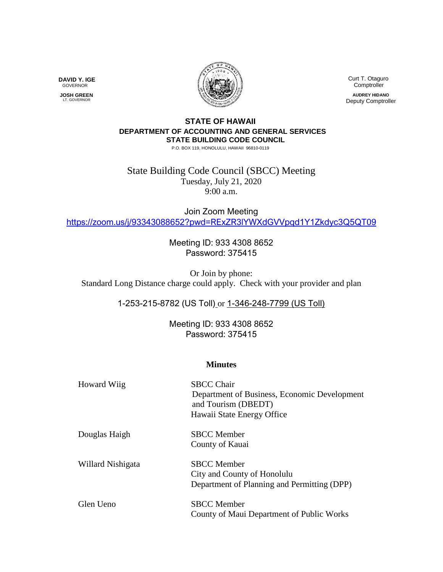

**DAVID Y. IGE** GOVERNOR

 **JOSH GREEN** LT. GOVERNOR

 Curt T. Otaguro **Comptroller AUDREY HIDANO** Deputy Comptroller

## **STATE OF HAWAII DEPARTMENT OF ACCOUNTING AND GENERAL SERVICES STATE BUILDING CODE COUNCIL**

P.O. BOX 119, HONOLULU, HAWAII 96810-0119

State Building Code Council (SBCC) Meeting Tuesday, July 21, 2020 9:00 a.m.

Join Zoom Meeting <https://zoom.us/j/93343088652?pwd=RExZR3lYWXdGVVpqd1Y1Zkdyc3Q5QT09>

> Meeting ID: 933 4308 8652 Password: 375415

Or Join by phone: Standard Long Distance charge could apply. Check with your provider and plan

1-253-215-8782 (US Toll) or 1-346-248-7799 (US Toll)

Meeting ID: 933 4308 8652 Password: 375415

## **Minutes**

| Howard Wiig       | <b>SBCC Chair</b><br>Department of Business, Economic Development<br>and Tourism (DBEDT)<br>Hawaii State Energy Office |
|-------------------|------------------------------------------------------------------------------------------------------------------------|
| Douglas Haigh     | <b>SBCC</b> Member<br>County of Kauai                                                                                  |
| Willard Nishigata | <b>SBCC</b> Member<br>City and County of Honolulu<br>Department of Planning and Permitting (DPP)                       |
| Glen Ueno         | <b>SBCC</b> Member<br>County of Maui Department of Public Works                                                        |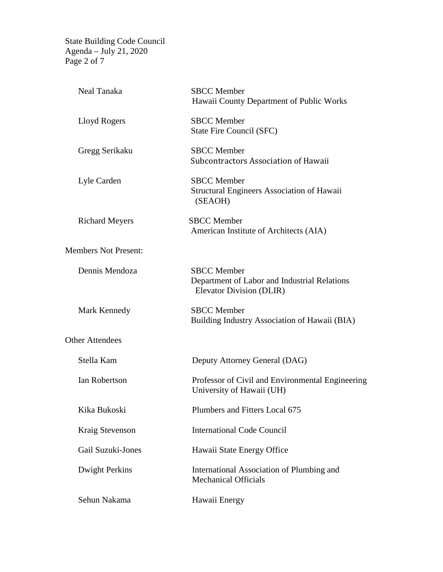State Building Code Council Agenda – July 21, 2020 Page 2 of 7

| Neal Tanaka                 | <b>SBCC</b> Member<br>Hawaii County Department of Public Works                                 |  |
|-----------------------------|------------------------------------------------------------------------------------------------|--|
| Lloyd Rogers                | <b>SBCC</b> Member<br>State Fire Council (SFC)                                                 |  |
| Gregg Serikaku              | <b>SBCC</b> Member<br>Subcontractors Association of Hawaii                                     |  |
| Lyle Carden                 | <b>SBCC</b> Member<br><b>Structural Engineers Association of Hawaii</b><br>(SEAOH)             |  |
| <b>Richard Meyers</b>       | <b>SBCC</b> Member<br>American Institute of Architects (AIA)                                   |  |
| <b>Members Not Present:</b> |                                                                                                |  |
| Dennis Mendoza              | <b>SBCC</b> Member<br>Department of Labor and Industrial Relations<br>Elevator Division (DLIR) |  |
| Mark Kennedy                | <b>SBCC</b> Member<br>Building Industry Association of Hawaii (BIA)                            |  |
| <b>Other Attendees</b>      |                                                                                                |  |
| Stella Kam                  | Deputy Attorney General (DAG)                                                                  |  |
| <b>Ian Robertson</b>        | Professor of Civil and Environmental Engineering<br>University of Hawaii (UH)                  |  |
| Kika Bukoski                | Plumbers and Fitters Local 675                                                                 |  |
| Kraig Stevenson             | <b>International Code Council</b>                                                              |  |
| Gail Suzuki-Jones           | Hawaii State Energy Office                                                                     |  |
| <b>Dwight Perkins</b>       | International Association of Plumbing and<br><b>Mechanical Officials</b>                       |  |
| Sehun Nakama                | Hawaii Energy                                                                                  |  |
|                             |                                                                                                |  |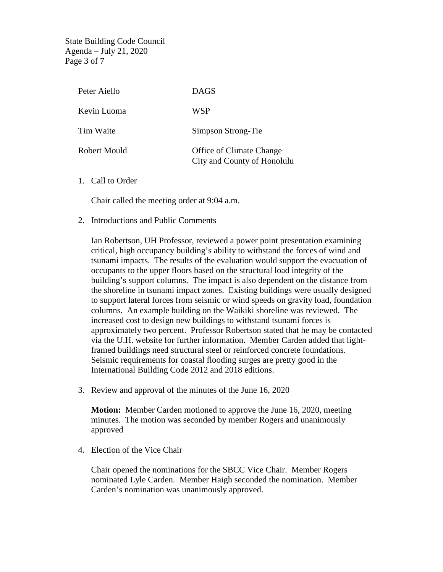State Building Code Council Agenda – July 21, 2020 Page 3 of 7

| Peter Aiello | <b>DAGS</b>                                                    |
|--------------|----------------------------------------------------------------|
| Kevin Luoma  | <b>WSP</b>                                                     |
| Tim Waite    | Simpson Strong-Tie                                             |
| Robert Mould | <b>Office of Climate Change</b><br>City and County of Honolulu |

1. Call to Order

Chair called the meeting order at 9:04 a.m.

2. Introductions and Public Comments

Ian Robertson, UH Professor, reviewed a power point presentation examining critical, high occupancy building's ability to withstand the forces of wind and tsunami impacts. The results of the evaluation would support the evacuation of occupants to the upper floors based on the structural load integrity of the building's support columns. The impact is also dependent on the distance from the shoreline in tsunami impact zones. Existing buildings were usually designed to support lateral forces from seismic or wind speeds on gravity load, foundation columns. An example building on the Waikiki shoreline was reviewed. The increased cost to design new buildings to withstand tsunami forces is approximately two percent. Professor Robertson stated that he may be contacted via the U.H. website for further information. Member Carden added that lightframed buildings need structural steel or reinforced concrete foundations. Seismic requirements for coastal flooding surges are pretty good in the International Building Code 2012 and 2018 editions.

3. Review and approval of the minutes of the June 16, 2020

**Motion:** Member Carden motioned to approve the June 16, 2020, meeting minutes. The motion was seconded by member Rogers and unanimously approved

4. Election of the Vice Chair

Chair opened the nominations for the SBCC Vice Chair. Member Rogers nominated Lyle Carden. Member Haigh seconded the nomination. Member Carden's nomination was unanimously approved.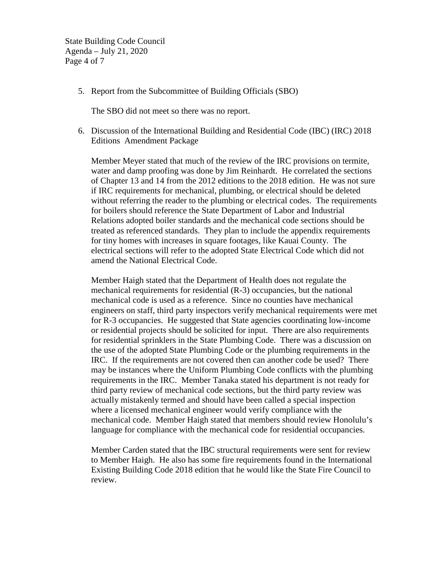State Building Code Council Agenda – July 21, 2020 Page 4 of 7

5. Report from the Subcommittee of Building Officials (SBO)

The SBO did not meet so there was no report.

6. Discussion of the International Building and Residential Code (IBC) (IRC) 2018 Editions Amendment Package

Member Meyer stated that much of the review of the IRC provisions on termite, water and damp proofing was done by Jim Reinhardt. He correlated the sections of Chapter 13 and 14 from the 2012 editions to the 2018 edition. He was not sure if IRC requirements for mechanical, plumbing, or electrical should be deleted without referring the reader to the plumbing or electrical codes. The requirements for boilers should reference the State Department of Labor and Industrial Relations adopted boiler standards and the mechanical code sections should be treated as referenced standards. They plan to include the appendix requirements for tiny homes with increases in square footages, like Kauai County. The electrical sections will refer to the adopted State Electrical Code which did not amend the National Electrical Code.

Member Haigh stated that the Department of Health does not regulate the mechanical requirements for residential (R-3) occupancies, but the national mechanical code is used as a reference. Since no counties have mechanical engineers on staff, third party inspectors verify mechanical requirements were met for R-3 occupancies. He suggested that State agencies coordinating low-income or residential projects should be solicited for input. There are also requirements for residential sprinklers in the State Plumbing Code. There was a discussion on the use of the adopted State Plumbing Code or the plumbing requirements in the IRC. If the requirements are not covered then can another code be used? There may be instances where the Uniform Plumbing Code conflicts with the plumbing requirements in the IRC. Member Tanaka stated his department is not ready for third party review of mechanical code sections, but the third party review was actually mistakenly termed and should have been called a special inspection where a licensed mechanical engineer would verify compliance with the mechanical code. Member Haigh stated that members should review Honolulu's language for compliance with the mechanical code for residential occupancies.

Member Carden stated that the IBC structural requirements were sent for review to Member Haigh. He also has some fire requirements found in the International Existing Building Code 2018 edition that he would like the State Fire Council to review.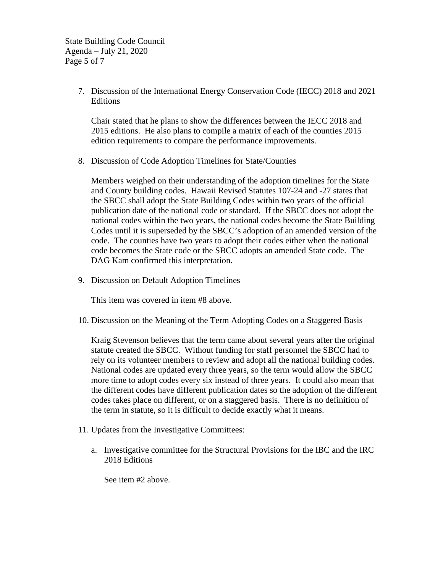State Building Code Council Agenda – July 21, 2020 Page 5 of 7

> 7. Discussion of the International Energy Conservation Code (IECC) 2018 and 2021 Editions

Chair stated that he plans to show the differences between the IECC 2018 and 2015 editions. He also plans to compile a matrix of each of the counties 2015 edition requirements to compare the performance improvements.

8. Discussion of Code Adoption Timelines for State/Counties

Members weighed on their understanding of the adoption timelines for the State and County building codes. Hawaii Revised Statutes 107-24 and -27 states that the SBCC shall adopt the State Building Codes within two years of the official publication date of the national code or standard. If the SBCC does not adopt the national codes within the two years, the national codes become the State Building Codes until it is superseded by the SBCC's adoption of an amended version of the code. The counties have two years to adopt their codes either when the national code becomes the State code or the SBCC adopts an amended State code. The DAG Kam confirmed this interpretation.

9. Discussion on Default Adoption Timelines

This item was covered in item #8 above.

10. Discussion on the Meaning of the Term Adopting Codes on a Staggered Basis

Kraig Stevenson believes that the term came about several years after the original statute created the SBCC. Without funding for staff personnel the SBCC had to rely on its volunteer members to review and adopt all the national building codes. National codes are updated every three years, so the term would allow the SBCC more time to adopt codes every six instead of three years. It could also mean that the different codes have different publication dates so the adoption of the different codes takes place on different, or on a staggered basis. There is no definition of the term in statute, so it is difficult to decide exactly what it means.

- 11. Updates from the Investigative Committees:
	- a. Investigative committee for the Structural Provisions for the IBC and the IRC 2018 Editions

See item #2 above.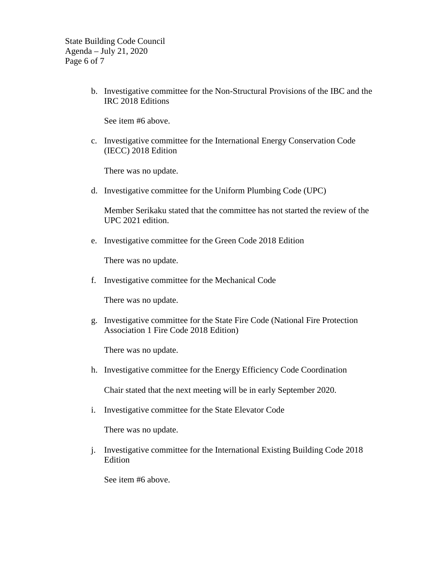State Building Code Council Agenda – July 21, 2020 Page 6 of 7

> b. Investigative committee for the Non-Structural Provisions of the IBC and the IRC 2018 Editions

See item #6 above.

c. Investigative committee for the International Energy Conservation Code (IECC) 2018 Edition

There was no update.

d. Investigative committee for the Uniform Plumbing Code (UPC)

Member Serikaku stated that the committee has not started the review of the UPC 2021 edition.

e. Investigative committee for the Green Code 2018 Edition

There was no update.

f. Investigative committee for the Mechanical Code

There was no update.

g. Investigative committee for the State Fire Code (National Fire Protection Association 1 Fire Code 2018 Edition)

There was no update.

h. Investigative committee for the Energy Efficiency Code Coordination

Chair stated that the next meeting will be in early September 2020.

i. Investigative committee for the State Elevator Code

There was no update.

j. Investigative committee for the International Existing Building Code 2018 Edition

See item #6 above.